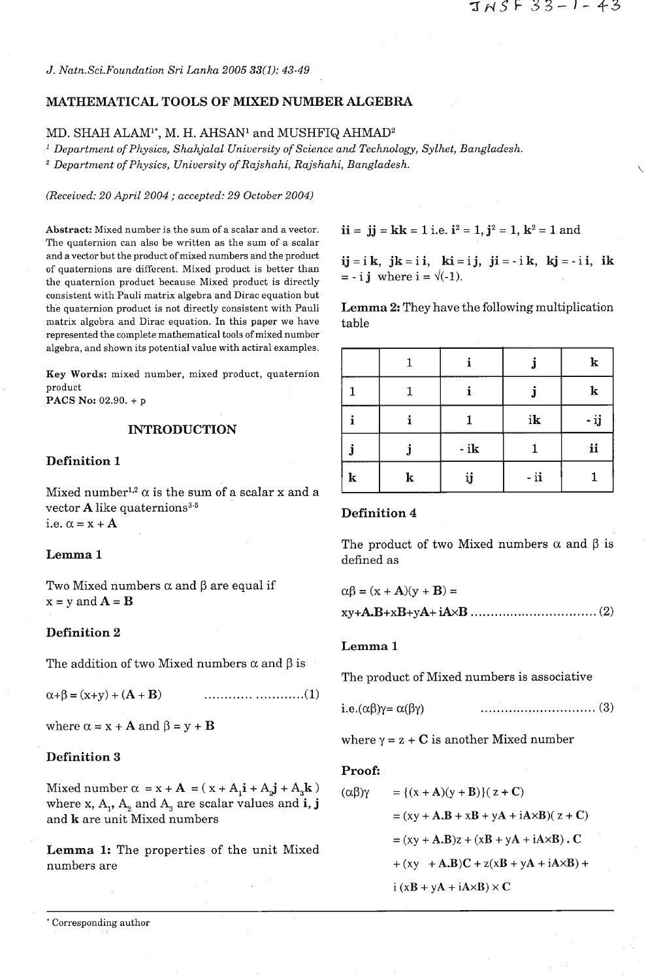*J. Natn.Sci.Foundation Sri Lanka 2005 33(1): 43-49* 

## MATHEMATICAL TOOLS OF MIXED NUMBER ALGEBRA

# MD. SHAH ALAM<sup>1\*</sup>, M. H. AHSAN<sup>1</sup> and MUSHFIQ AHMAD<sup>2</sup>

*Department of Physics, Shahjalal University of Science and Technology, Sylhet, Bangladesh.* 

*Department of Physics, University of Rajshahi, Rajshahi, Bangladesh.* 

*(Received: 20 April 2004* ; *accepted: 29 October 2004)* 

Abstract: Mixed number is the sum of a scalar and a vector.  $\mathbf{ii} = \mathbf{jj} = \mathbf{kk} = 1$  i.e.  $\mathbf{i}^2 = 1$ ,  $\mathbf{j}^2 = 1$ ,  $\mathbf{k}^2 = 1$  and The quaternion can also be written as the sum of a scalar and a vector but the product of mixed numbers and the product  $i\mathbf{j}=i\mathbf{k}$ ,  $j\mathbf{k}=i\mathbf{i}$ ,  $k\mathbf{i}=i\mathbf{j}$ ,  $j\mathbf{i}=-i\mathbf{k}$ ,  $k\mathbf{j}=-i\mathbf{i}$ ,  $i\mathbf{k}$ of quaternions are different. Mixed product is better than the quaternions are directed. Mixed product is better than  $= - i j$  where  $i = \sqrt{(-1)}$ . consistent with Pauli matrix algebra and Dirac equation but the quaternion product is not directly consistent with Pauli Lemma **2:** They have the following multiplication matrix algebra and Dirac equation. In this paper we have table represented the complete mathematical tools of mixed number algebra, and shown its potential value with actiral examples.

**Key** Words: mixed number, mixed product, quaternion product

PACS No: 02.90. + p

## INTRODUCTION

## Definition **1**

Mixed number<sup>1,2</sup>  $\alpha$  is the sum of a scalar x and a vector  $A$  like quaternions<sup>3-5</sup> i.e.  $\alpha = x + A$ 

## Lemma **1**

Two Mixed numbers  $\alpha$  and  $\beta$  are equal if  $x = y$  and  $A = B$ 

# Definition **2**

The addition of two Mixed numbers  $\alpha$  and  $\beta$  is

 $\alpha + \beta = (x+y) + (A + B)$ 

where  $\alpha = x + A$  and  $\beta = y + B$ 

## Definition **3**

Mixed number  $\alpha = x + A = (x + A_1 \mathbf{i} + A_2 \mathbf{j} + A_3 \mathbf{k})$ where x,  $A_1$ ,  $A_2$  and  $A_3$  are scalar values and **i**, **j** and k are unit Mixed numbers

Lemma **1:** The properties of the unit Mixed numbers are

\* Corresponding author

|           |   |       |       | ${\bf k}$   |
|-----------|---|-------|-------|-------------|
|           |   |       |       | $\mathbf k$ |
|           | 4 |       | ik    | - ij        |
|           |   | $-ik$ |       | ii          |
| ${\bf k}$ | k | ij    | $-ii$ |             |

### Definition 4

The product of two Mixed numbers  $\alpha$  and  $\beta$  is defined as

| $\alpha\beta = (x + A)(y + B) =$ |  |
|----------------------------------|--|
|                                  |  |

#### Lemma **1**

The product of Mixed numbers is associative

where  $\gamma = z + C$  is another Mixed number

#### Proof:

$$
(\alpha\beta)\gamma = { (x + A)(y + B) } (z + C)
$$
  
= (xy + A.B + xB + yA + iAxB)(z + C)  
= (xy + A.B)z + (xB + yA + iAxB). C  
+ (xy + A.B)C + z(xB + yA + iAxB) +  
i (xB + yA + iAxB) \times C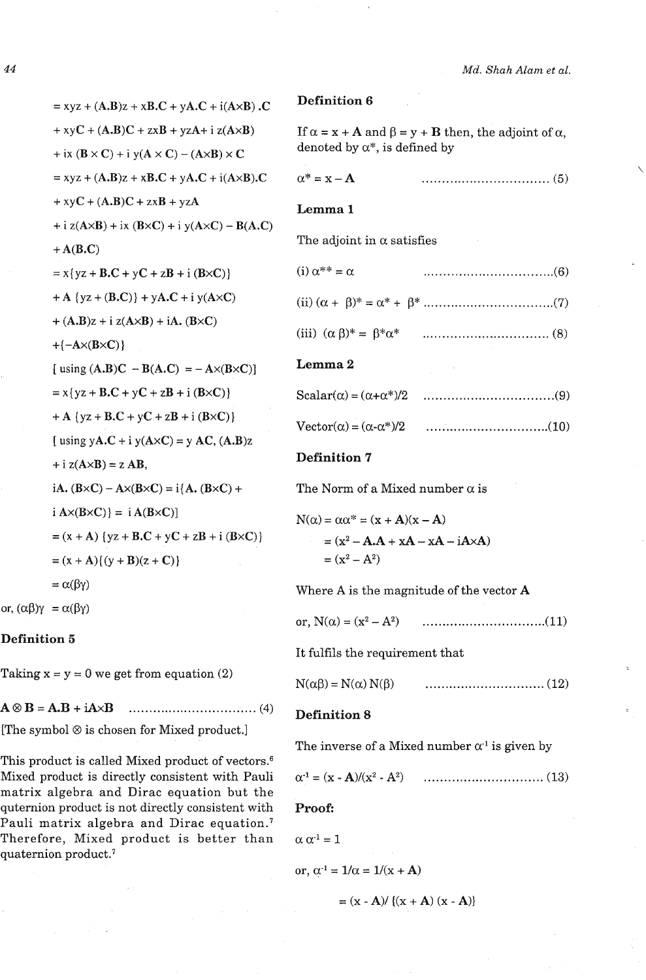## **Definition 6**

If  $\alpha = x + A$  and  $\beta = y + B$  then, the adjoint of  $\alpha$ , denoted by  $\alpha^*$ , is defined by

$$
\alpha^* = \mathbf{x} - \mathbf{A} \tag{5}
$$

## **Lemma 1**

The adjoint in  $\alpha$  satisfies

| $(i) \alpha^{**} = \alpha$ |  |  |
|----------------------------|--|--|
|                            |  |  |

(iii) (a PI\* = P\*a\* ................................ **(8)** 

### **Lemma 2**

| Scalar( $\alpha$ ) = ( $\alpha$ + $\alpha$ <sup>*</sup> )/2 |  |
|-------------------------------------------------------------|--|
| $\text{Vector}(\alpha) = (\alpha - \alpha^*)/2$             |  |

## **Definition** 7

The Norm of a Mixed number  $\alpha$  is

$$
N(\alpha) = \alpha \alpha^* = (x + A)(x - A)
$$
  
= (x<sup>2</sup> – A.A + xA – xA – iA×A)  
= (x<sup>2</sup> – A<sup>2</sup>)

Where A is the magnitude of the vector **A** 

or, N(a) = (x2 - A2) ............................... (11)

It fulfils the requirement that

N(ap) = N(a) N(P) .............................. (12)

#### **Definition 8**

The inverse of a Mixed number  $\alpha^1$  is given by

a-l = (X - A)/(x2 - A2) .............................. (13)

**Proof:** 

 $\alpha \alpha^{-1} = 1$ 

or, 
$$
\alpha^{-1} = 1/\alpha = 1/(x + A)
$$

 $= (x - A) / (x + A) (x - A)$ 

 $= xyz + (A.B)z + xB.C + yA.C + i(AxB) .C$  $+ xyC + (A.B)C + zxB + yzA + i z(A \times B)$ + ix  $(\mathbf{B} \times \mathbf{C})$  + i y( $\mathbf{A} \times \mathbf{C}$ ) – ( $\mathbf{A} \times \mathbf{B}$ )  $\times \mathbf{C}$  $= xyz + (A.B)z + xB.C + yA.C + i(A \times B).C$  $+ xyC + (A.B)C + zxB + yzA$  $+$ i z(A×B) + ix (B×C) + i y(A×C) – B(A.C)  $+ A(B.C)$  $= x\{yz + B.C + yC + zB + i (B \times C)\}\$  $+A \{yz + (B.C)\} + yA.C + i y(A \times C)$  $+(A.B)z + i z(AxB) + iA. (B \times C)$  $+{-A\times(B\times C)}$ [ using  $(A.B)C - B(A.C) = -A \times (B \times C)$ ]  $= x\{yz + B.C + yC + zB + i (B \times C)\}\$ + A { $yz + B.C + yC + zB + i (B \times C)$ } [ using  $yA.C + i y(A \times C) = y AC$ ,  $(A.B)z$  $+$  i z( $A \times B$ ) = z AB, iA.  $(B \times C) - A \times (B \times C) = i \{A \cdot (B \times C) +$  $i A \times (B \times C)$  =  $i A (B \times C)$  $=(x+A)$  {yz + **B.C** + y**C** + z**B** + i (**B**×**C**)}  $=(x+A){ (y+B)(z+C)}$  $= \alpha(\beta\gamma)$ 

or,  $(\alpha\beta)\gamma = \alpha(\beta\gamma)$ 

## **Definition 5**

Taking  $x = y = 0$  we get from equation (2)

AQB =A.B + **iAxB** ................................ (4)

[The symbol  $\otimes$  is chosen for Mixed product.]

This product is called Mixed product of vectors.<sup>6</sup> Mixed product is directly consistent with Pauli matrix algebra and Dirac equation but the quternion product is not directly consistent with Pauli matrix algebra and Dirac equation.<sup>7</sup> Therefore, Mixed product is better than quaternion product.<sup>7</sup>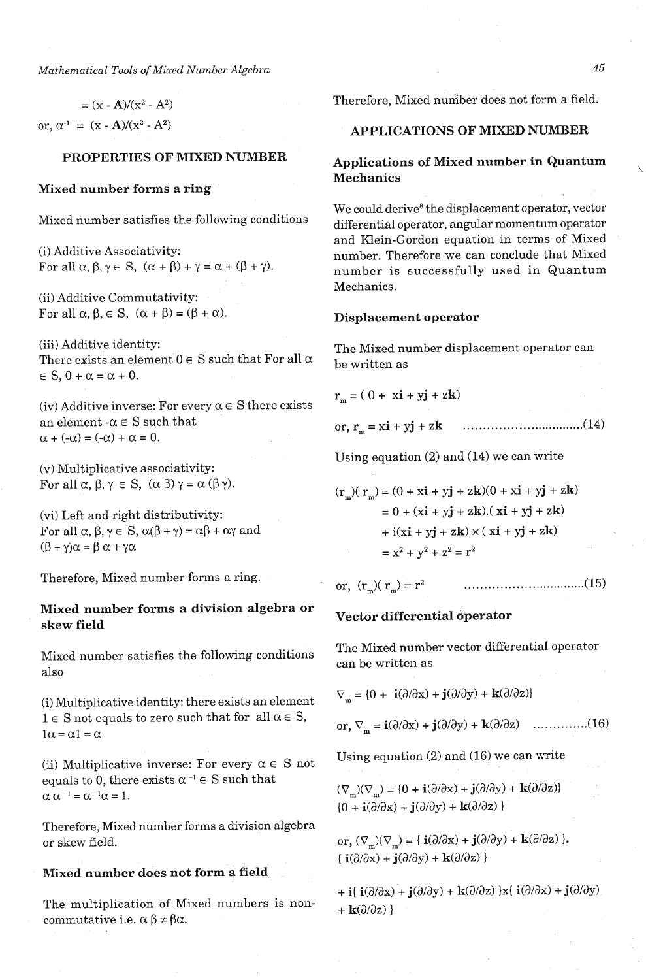*Mathematical Tools of Mixed Number Algebra* 

 $= (x - A)/(x^2 - A^2)$ or,  $\alpha^{-1} = (x - A)/(x^2 - A^2)$ 

#### PROPERTIES OF MIXED NUMBER

#### Mixed number forms a ring

Mixed number satisfies the following conditions

(i) Additive Associativity: For all  $\alpha$ ,  $\beta$ ,  $\gamma \in S$ ,  $(\alpha + \beta) + \gamma = \alpha + (\beta + \gamma)$ .

(ii) Additive Commutativity: For all  $\alpha, \beta \in S$ ,  $(\alpha + \beta) = (\beta + \alpha)$ .

(iii) Additive identity: There exists an element  $0 \in S$  such that For all  $\alpha$  $\in$  S, 0 +  $\alpha$  =  $\alpha$  + 0.

(iv) Additive inverse: For every  $\alpha \in S$  there exists an element  $-\alpha \in S$  such that  $\alpha + (-\alpha) = (-\alpha) + \alpha = 0.$ 

(v) Multiplicative associativity: For all  $\alpha$ ,  $\beta$ ,  $\gamma \in S$ ,  $(\alpha \beta)$   $\gamma = \alpha (\beta \gamma)$ .

(vi) Left and right distributivity: For all  $\alpha$ ,  $\beta$ ,  $\gamma \in S$ ,  $\alpha(\beta + \gamma) = \alpha\beta + \alpha\gamma$  and  $(\beta + \gamma)\alpha = \beta \alpha + \gamma\alpha$ 

Therefore, Mixed number forms a ring.

# Mixed number forms a division algebra or skew field

Mixed number satisfies the following conditions also

(i) Multiplicative identity: there exists an element  $1 \in S$  not equals to zero such that for all  $\alpha \in S$ ,  $1\alpha = \alpha 1 = \alpha$ 

(ii) Multiplicative inverse: For every  $\alpha \in S$  not equals to 0, there exists  $\alpha^{-1} \in S$  such that  $\alpha\ \alpha^{\scriptscriptstyle -1}=\alpha^{\scriptscriptstyle -1}\alpha=1.$ 

Therefore, Mixed number forms a division algebra or skew field.

## Mixed number does not form a field

The multiplication of Mixed numbers is noncommutative i.e.  $\alpha \beta \neq \beta \alpha$ .

Therefore, Mixed number does not form a field.

## APPLICATIONS OF MIXED NUMBER

# Applications of Mixed number in Quantum Mechanics

We could derive<sup>8</sup> the displacement operator, vector differential operator, angular momentum operator and Klein-Gordon equation in terms of Mixed number. Therefore we can conclude that Mixed number is successfully used in Quantum Mechanics.

#### Displacement operator

The Mixed number displacement operator can be written as

$$
\mathbf{r}_{\mathbf{m}} = (0 + \mathbf{x}\mathbf{i} + \mathbf{y}\mathbf{j} + \mathbf{z}\mathbf{k})
$$

or, 
$$
r_m = x\mathbf{i} + y\mathbf{j} + z\mathbf{k}
$$
 ....... (14)

Using equation (2) and (14) we can write

$$
(\mathbf{r}_{\mathrm{m}})(\mathbf{r}_{\mathrm{m}}) = (0 + x\mathbf{i} + y\mathbf{j} + z\mathbf{k})(0 + x\mathbf{i} + y\mathbf{j} + z\mathbf{k})
$$
  
= 0 + (x\mathbf{i} + y\mathbf{j} + z\mathbf{k}). (x\mathbf{i} + y\mathbf{j} + z\mathbf{k})  
+ i(x\mathbf{i} + y\mathbf{j} + z\mathbf{k}) \times (x\mathbf{i} + y\mathbf{j} + z\mathbf{k})  
= x<sup>2</sup> + y<sup>2</sup> + z<sup>2</sup> = r<sup>2</sup>

or, (rm)( rm) = r2 ................................ **(15)** 

## Vector differential operator

The Mixed number vector differential operator can be written as

 $\nabla_{\mathbf{w}} = \{0 + \mathbf{i}(\partial/\partial x) + \mathbf{j}(\partial/\partial y) + \mathbf{k}(\partial/\partial z)\}\$ 

or, 
$$
\nabla_{\mathbf{m}} = \mathbf{i}(\partial/\partial \mathbf{x}) + \mathbf{j}(\partial/\partial \mathbf{y}) + \mathbf{k}(\partial/\partial \mathbf{z})
$$
 ....... (16)

Using equation (2) and (16) we can write

 $(\nabla_{\mathbf{m}})(\nabla_{\mathbf{m}}) = \{0 + \mathbf{i}(\partial/\partial x) + \mathbf{j}(\partial/\partial y) + \mathbf{k}(\partial/\partial z)\}\$  ${0 + i(\partial/\partial x) + j(\partial/\partial y) + k(\partial/\partial z)}$ 

or,  $(\nabla_{\mathbf{m}})(\nabla_{\mathbf{m}}) = {\mathbf{i}(\partial/\partial \mathbf{x}) + \mathbf{j}(\partial/\partial \mathbf{y}) + \mathbf{k}(\partial/\partial \mathbf{z})}.$  $\{ \mathbf{i}(\partial/\partial x) + \mathbf{j}(\partial/\partial y) + \mathbf{k}(\partial/\partial z) \}$ 

+ i{  $\mathbf{i}(\partial/\partial x)$  +  $\mathbf{j}(\partial/\partial y)$  +  $\mathbf{k}(\partial/\partial z)$  }x{  $\mathbf{i}(\partial/\partial x)$  +  $\mathbf{j}(\partial/\partial y)$ . +  $\mathbf{k}(\partial/\partial z)$ }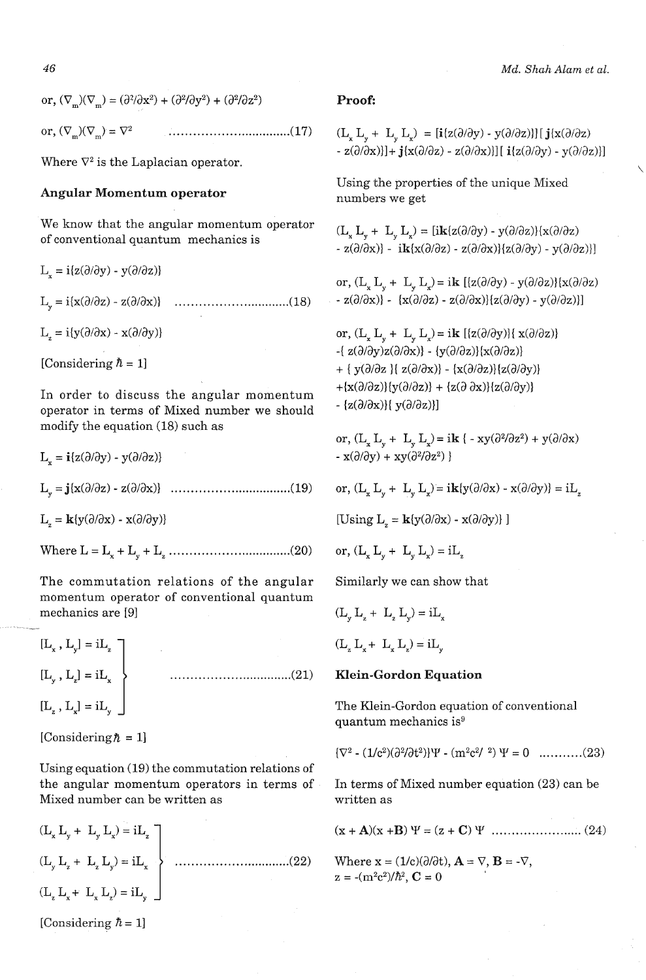*46 Md. Shah Alam et al.* 

or,  $(\nabla_{\mathbf{w}})(\nabla_{\mathbf{w}}) = (\partial^2/\partial x^2) + (\partial^2/\partial y^2) + (\partial^2/\partial z^2)$  Proof: or, (VIIl>(VI,,> = V2 ................................ (17) (L~ L~ + L~ L~) = [i(z(a/ay) - ~(a~az))] [ j(x(a/az)

We know that the angular momentum operator we know that the angular momentum operator<br>of conventional quantum mechanics is

$$
L_x = i\{z(\partial/\partial y) - y(\partial/\partial z)\}
$$
  
\n
$$
L_y = i\{x(\partial/\partial z) - z(\partial/\partial x)\}
$$
.................(18)  
\n
$$
L_z = i\{y(\partial/\partial x) - x(\partial/\partial y)\}
$$
  
\n[Considering  $\hbar = 1$ ]

In order to discuss the angular momentum operator in terms of Mixed number we should modify the equation (18) such as

 $L_x = i\{z(\partial/\partial y) - y(\partial/\partial z)\}\$ 

 $L_z = \mathbf{k}{y(\partial/\partial x) - x(\partial/\partial y)}$ 

Where L = Lx + Ly + LZ ............................ ....(20)

The commutation relations of the angular momentum operator of conventional quantum mechanics are [91

 $[\mathbf{L}_{_{\mathbf{x}}}$  ,  $\mathbf{L}_{_{\mathbf{y}}}] = \mathrm{i} \mathbf{L}_{_{\mathbf{z}}}$   $\begin{bmatrix} \end{bmatrix}$ [Ly , LZ] = iLx ............................... .(21) Klein-Gordon Equation  $[L_z, L_x] = iL_y$  The Klein-Gordon equation of conventional

[Considering $\hbar = 1$ ]

Using equation (19) the commutation relations of the angular momentum operators in terms of In terms of Mixed number equation (23) can be Mixed number can be written as written as

$$
(L_x L_y + L_y L_x) = iL_z
$$
  
\n
$$
(L_y L_z + L_z L_y) = iL_x
$$
  
\n
$$
(L_z L_x + L_x L_z) = iL_y
$$
 (22)

[Considering  $\hbar = 1$ ]

Where  $\nabla^2$  is the Laplacian operator.<br>Where  $\nabla^2$  is the Laplacian operator.

Angular Momentum operator Using the properties of the unique Mixed numbers we get

 $- z(\partial/\partial x)$ ] - ik $\{x(\partial/\partial z) - z(\partial/\partial x)\} \{z(\partial/\partial y) - y(\partial/\partial z)\}$ 

or,  $(L, L, + L, L) = i\mathbf{k}$  [ ${z(\partial/\partial y) - y(\partial/\partial z)}{x(\partial/\partial z)}$  $- z(\partial/\partial x)$  -  $\{x(\partial/\partial z) - z(\partial/\partial x)\}\{z(\partial/\partial y) - y(\partial/\partial z)\}\}$ 

or,  $(L_x L_y + L_y L_z) = i\mathbf{k}$  [{ $z(\partial/\partial y)$ }{ $x(\partial/\partial z)$ } -{ $z(\partial/\partial y)z(\partial/\partial x)$ } - { $y(\partial/\partial z)$ } { $x(\partial/\partial z)$ } + {  $y(\partial/\partial z)$  {  $z(\partial/\partial x)$ } - { $x(\partial/\partial z)$ } { $z(\partial/\partial y)$ } +{ $x(\partial/\partial z)$ }{ $y(\partial/\partial z)$ } + { $z(\partial \partial x)$ }{ $z(\partial/\partial y)$ }  $-[z(\partial/\partial x)]{y(\partial/\partial z)}]$ 

or,  $(L_x L_y + L_y L_x) = ik (-xy(\partial^2/\partial z^2) + y(\partial/\partial x)$  $- x(\partial/\partial y) + xy(\partial^2/\partial z^2)$ 

or,  $(L_x L_y + L_y L_z) = i k(y(\partial/\partial x) - x(\partial/\partial y)) = i L_z$ 

[Using  $L_z = \mathbf{k}{y(\partial/\partial x) - x(\partial/\partial y)}$ ]

or, 
$$
(L_x L_y + L_y L_z) = iL_z
$$

Similarly we can show that

 $(L _{w} L _{z} + L _{w} L _{w}) = iL _{w}$ 

 $(L L L + L L L) = iL$ 

quantum mechanics is<sup>9</sup>

 ${\overline{V^2} - (1/c^2)(\partial^2/\partial t^2)}\Psi - (m^2c^2/2) \Psi = 0$  ............(23)

Where  $\mathbf{x} = (1/c)(\partial/\partial t)$ ,  $\mathbf{A} = \nabla$ ,  $\mathbf{B} = -\nabla$ ,  $z = -(m^2c^2)/\hbar^2$ ,  $C = 0$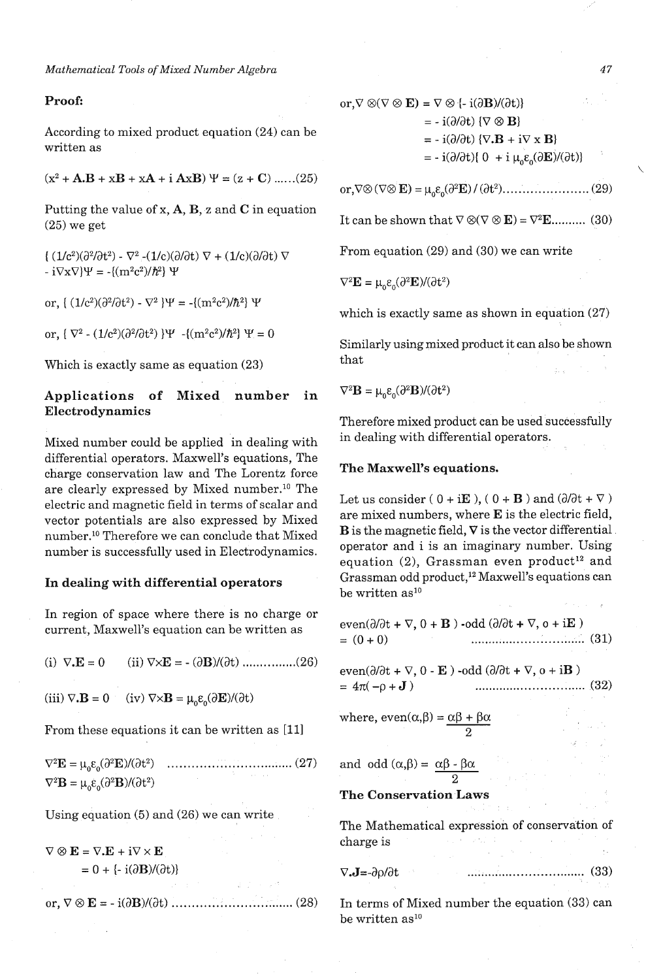## Proof:

According to mixed product equation (24) can be written as

 $(x^2 + A.B + xB + xA + i AxB) \Psi = (z + C) \dots (25)$ 

Putting the value of  $x$ ,  $A$ ,  $B$ ,  $z$  and  $C$  in equation (25) we get

 $( (1/c^2)(\partial^2/\partial t^2) - \nabla^2 -(1/c)(\partial/\partial t) \nabla + (1/c)(\partial/\partial t) \nabla$ -  $i\nabla x \nabla \Psi = -\{(m^2c^2)/\hbar^2\} \Psi$ 

or,  $\{(1/c^2)(\partial^2/\partial t^2) - \nabla^2 \} \Psi = -\{(m^2c^2)/\hbar^2\} \Psi$ 

or,  $\{\nabla^2 \cdot (1/c^2)(\partial^2/\partial t^2)\} \Psi - \{(m^2c^2)/\hbar^2\} \Psi = 0$ 

Which is exactly same as equation (23)

# Applications of Mixed number in Electrodynamics

Mixed number could be applied in dealing with differential operators. Maxwell's equations, The charge conservation law and The Lorentz force are clearly expressed by Mixed number.1° The electric and magnetic field in terms of scalar and vector potentials are also expressed by Mixed number.1° Therefore we can conclude that Mixed number is successfully used in Electrodynamics.

### In dealing with differential operators

In region of space where there is no charge or current, Maxwell's equation can be written as

(i)  $\nabla \cdot \mathbf{E} = 0$ (ii)  $\nabla \times \mathbf{E} = -(\partial \mathbf{B})/(\partial t)$  ................(26)

(iii)  $\nabla \cdot \mathbf{B} = 0$  (iv)  $\nabla \times \mathbf{B} = \mu_0 \varepsilon_0(\partial \mathbf{E})/(\partial t)$ 

From these equations it can be written as [Ill

 $\nabla^2 \mathbf{E} = \mu_0 \varepsilon_0 (\partial^2 \mathbf{E}) / (\partial t^2) \quad \dots \dots \dots \dots \dots \dots \dots \dots \dots \dots \dots \dots \dots \tag{27}$  $\nabla^2 \mathbf{B} = \mu_0 \varepsilon_0 (\partial^2 \mathbf{B}) / (\partial t^2)$ 

Using equation (5) and (26) we can write

 $\nabla \otimes \mathbf{E} = \nabla \cdot \mathbf{E} + i \nabla \times \mathbf{E}$  $= 0 + \{-i(\partial \mathbf{B})/(\partial t)\}\$ 

or, 
$$
\nabla \otimes \mathbf{E} = -\mathbf{i}(\partial \mathbf{B})/(\partial t)
$$
 ....... (28)

or,  $\nabla \otimes (\nabla \otimes \mathbf{E}) = \nabla \otimes (-i(\partial \mathbf{B})/(\partial t))$  $= -i(\partial/\partial t)$  { $\nabla \otimes \mathbf{B}$ }  $= -i(\partial/\partial t) \{ \nabla \cdot \mathbf{B} + i \nabla \times \mathbf{B} \}$  $= -i(\partial/\partial t)\{0 + i\mu_0 \varepsilon_0(\partial \mathbf{E})/(\partial t)\}\$ 

It can be shown that  $\nabla \otimes (\nabla \otimes \mathbf{E}) = \nabla^2 \mathbf{E}$ ........... (30)

From equation (29) and (30) we can write

$$
\nabla^2 \mathbf{E} = \mu_0 \varepsilon_0 (\partial^2 \mathbf{E}) / (\partial t^2)
$$

which is exactly same as shown in equation (27)

Similarly using mixed product it can also be shown that

 $\nabla^2 \mathbf{B} = \mu_0 \varepsilon_0 (\partial^2 \mathbf{B}) / (\partial t^2)$ 

Therefore mixed product can be used successfully in dealing with differential operators.

#### The Maxwell's equations.

Let us consider (  $0 + iE$  ), (  $0 + B$  ) and ( $\partial/\partial t + \nabla$  ) are mixed numbers, where E is the electric field,  $\bf{B}$  is the magnetic field,  $\nabla$  is the vector differential operator and i is an imaginary number. Using equation (2), Grassman even product<sup>12</sup> and Grassman odd product,<sup>12</sup> Maxwell's equations can be written as<sup>10</sup>

even( $\partial/\partial t$  +  $\nabla$ ,  $0$  +  $\bf{B}$ ) -odd ( $\partial/\partial t$  +  $\nabla$ ,  $o$  +  $i\bf{E}$ )  $= (0 + 0)$ 

even<br>(d/dt +  $\nabla$ , 0 -  ${\bf E}$ ) -odd (d/dt +<br>  $\nabla$ , o + i ${\bf B}$ )  $= 4\pi(-\rho + J)$ 

where,  $even(\alpha, \beta) = \alpha\beta + \beta\alpha$ 2

and odd  $(\alpha, \beta) = \frac{\alpha\beta - \beta\alpha}{2}$ 

The Conservation Laws

The Mathematical expression of conservation of charge is

v.J=-ap~at ................................ (33)

In terms of Mixed number the equation (33) can be written as<sup>10</sup>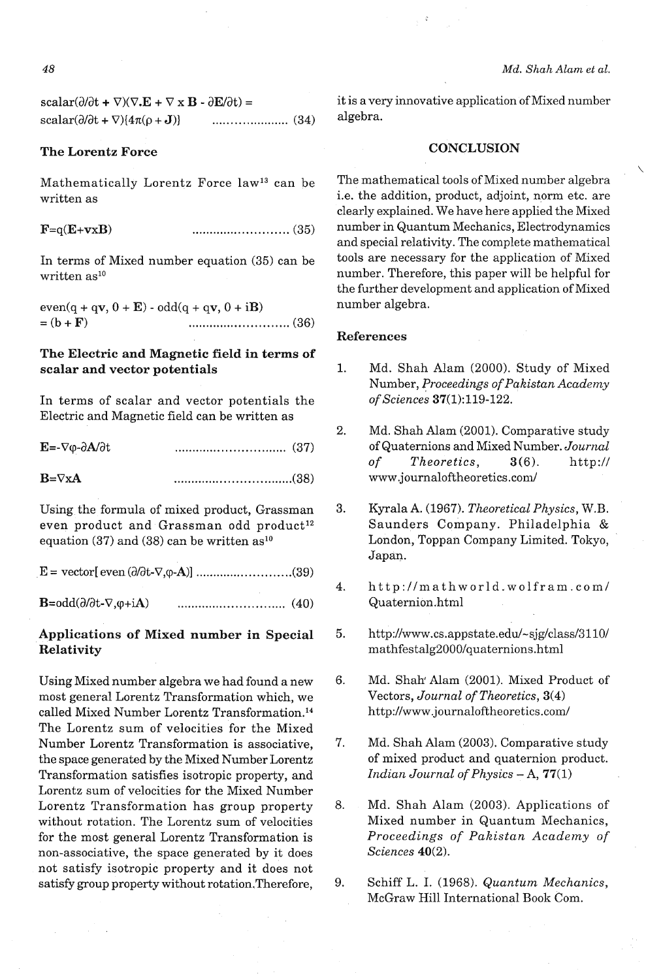48

 $scalar(\partial/\partial t + \nabla)(\nabla \cdot \mathbf{E} + \nabla \times \mathbf{B} - \partial \mathbf{E}/\partial t) =$ scalar(a/at + V){471(p + **J))** ..................... (34)

## The Lorentz Force

Mathematically Lorentz Force law13 can be written as

 $\mathbf{F} = q(\mathbf{E} + \mathbf{v} \times \mathbf{B})$ 

In terms of Mixed number equation (35) can be written  $as<sup>10</sup>$ 

even(q + qv, 0 + E) - odd(q + qv, 0 + iB) = (b + F) ........................... (36)

# The Electric and Magnetic field in terms of scalar and vector potentials

In terms of scalar and vector potentials the Electric and Magnetic field can be written as

| $E = -\nabla \varphi - \partial A/\partial t$ |  |
|-----------------------------------------------|--|
| $B = \nabla X A$                              |  |

Using the formula of mixed product, Grassman even product and Grassman odd product<sup>12</sup> equation (37) and (38) can be written  $as<sup>10</sup>$ 

 $\mathbf{B} = \text{odd}(\partial/\partial t - \nabla, \varphi + i\mathbf{A})$ 

# Applications of Mixed number in Special Relativity

Using Mixed number algebra we had found a new most general Lorentz Transformation which, we called Mixed Number Lorentz Transformation.<sup>14</sup> The Lorentz sum of velocities for the Mixed Number Lorentz Transformation is associative, the space generated by the Mixed Number Lorentz Transformation satisfies isotropic property, and Lorentz sum of velocities for the Mixed Number Lorentz Transformation has group property without rotation. The Lorentz sum of velocities for the most general Lorentz Transformation is non-associative, the space generated by it does not satisfy isotropic property and it does not satisfy group property without rotation.Therefore,

 $\ddot{\phantom{0}}$ 

it is a very innovative application of Mixed number algebra.

## **CONCLUSION**

The mathematical tools of Mixed number algebra i.e. the addition, product, adjoint, norm etc. are clearly explained. We have here applied the Mixed number in Quantum Mechanics, Electrodynamics and special relativity. The complete mathematical tools are necessary for the application of Mixed number. Therefore, this paper will be helpful for the further development and application of Mixed number algebra.

### References

- 1. Md. Shah Alam (2000). Study of Mixed Number, Proceedings of Pakistan Academy of Sciences 37(1):119-122.
- 2. Md. Shah Alam (2001). Comparative study of Quaternions and Mixed Number. Journal of Theoretics, 3(6). http:// www.journaloftheoretics.com/
- 3. Kyrala A. (1967). Theoretical Physics, W.B. Saunders Company. Philadelphia & London, Toppan Company Limited. Tokyo, Japan.
- 4. http://mathworld.wolfram.com/ Quaternion.html
- 5. http://www.cs.appstate.edu/~sjg/class/3110/ mathfestalg2000/quaternions.html
- 6. Md. Shak Alam (2001). Mixed Product of Vectors, Journal of Theoretics, 3(4) http://www.journaloftheoretics.com/
- 7. Md. Shah Alam (2003). Comparative study of mixed product and quaternion product. Indian Journal of Physics  $-A$ , 77(1)
- 8. Md. Shah Alam (2003). Applications of Mixed number in Quantum Mechanics, Proceedings of Pakistan Academy of Sciences 40(2).
- 9. Schiff L. I. (1968). Quantum Mechanics, McGraw Hill International Book Com.